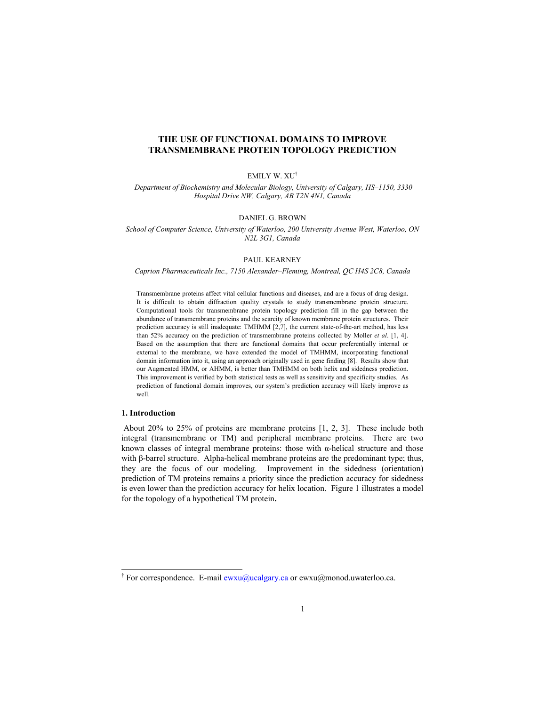# **THE USE OF FUNCTIONAL DOMAINS TO IMPROVE TRANSMEMBRANE PROTEIN TOPOLOGY PREDICTION**

#### EMILY W. XU†

 *Department of Biochemistry and Molecular Biology, University of Calgary, HS–1150, 3330 Hospital Drive NW, Calgary, AB T2N 4N1, Canada* 

#### DANIEL G. BROWN

*School of Computer Science, University of Waterloo, 200 University Avenue West, Waterloo, ON N2L 3G1, Canada* 

## PAUL KEARNEY

*Caprion Pharmaceuticals Inc., 7150 Alexander–Fleming, Montreal, QC H4S 2C8, Canada* 

Transmembrane proteins affect vital cellular functions and diseases, and are a focus of drug design. It is difficult to obtain diffraction quality crystals to study transmembrane protein structure. Computational tools for transmembrane protein topology prediction fill in the gap between the abundance of transmembrane proteins and the scarcity of known membrane protein structures. Their prediction accuracy is still inadequate: TMHMM [2,7], the current state-of-the-art method, has less than 52% accuracy on the prediction of transmembrane proteins collected by Moller *et al*. [1, 4]. Based on the assumption that there are functional domains that occur preferentially internal or external to the membrane, we have extended the model of TMHMM, incorporating functional domain information into it, using an approach originally used in gene finding [8]. Results show that our Augmented HMM, or AHMM, is better than TMHMM on both helix and sidedness prediction. This improvement is verified by both statistical tests as well as sensitivity and specificity studies. As prediction of functional domain improves, our system's prediction accuracy will likely improve as well.

#### **1. Introduction**

l

 About 20% to 25% of proteins are membrane proteins [1, 2, 3]. These include both integral (transmembrane or TM) and peripheral membrane proteins. There are two known classes of integral membrane proteins: those with α-helical structure and those with β-barrel structure. Alpha-helical membrane proteins are the predominant type; thus, they are the focus of our modeling. Improvement in the sidedness (orientation) prediction of TM proteins remains a priority since the prediction accuracy for sidedness is even lower than the prediction accuracy for helix location. Figure 1 illustrates a model for the topology of a hypothetical TM protein**.** 

<sup>&</sup>lt;sup>†</sup> For correspondence. E-mail  $\frac{ewxu@ucalgary.ca}{ewxu@ucalgary.ca}$  or ewxu@monod.uwaterloo.ca.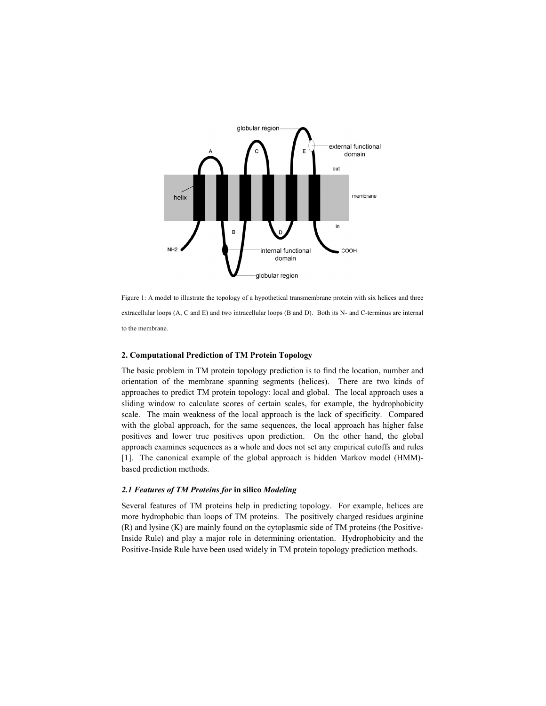

Figure 1: A model to illustrate the topology of a hypothetical transmembrane protein with six helices and three extracellular loops (A, C and E) and two intracellular loops (B and D). Both its N- and C-terminus are internal to the membrane.

#### **2. Computational Prediction of TM Protein Topology**

The basic problem in TM protein topology prediction is to find the location, number and orientation of the membrane spanning segments (helices). There are two kinds of approaches to predict TM protein topology: local and global. The local approach uses a sliding window to calculate scores of certain scales, for example, the hydrophobicity scale. The main weakness of the local approach is the lack of specificity. Compared with the global approach, for the same sequences, the local approach has higher false positives and lower true positives upon prediction. On the other hand, the global approach examines sequences as a whole and does not set any empirical cutoffs and rules [1]. The canonical example of the global approach is hidden Markov model (HMM) based prediction methods.

# *2.1 Features of TM Proteins for* **in silico** *Modeling*

Several features of TM proteins help in predicting topology. For example, helices are more hydrophobic than loops of TM proteins. The positively charged residues arginine (R) and lysine (K) are mainly found on the cytoplasmic side of TM proteins (the Positive-Inside Rule) and play a major role in determining orientation. Hydrophobicity and the Positive-Inside Rule have been used widely in TM protein topology prediction methods.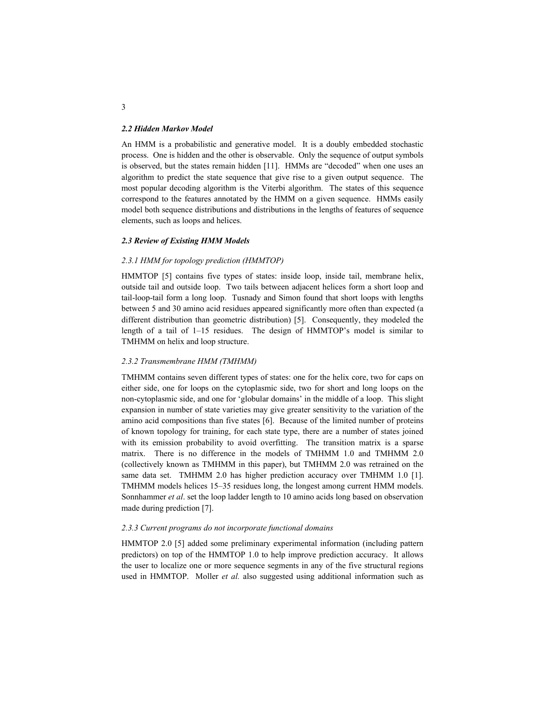#### *2.2 Hidden Markov Model*

An HMM is a probabilistic and generative model. It is a doubly embedded stochastic process. One is hidden and the other is observable. Only the sequence of output symbols is observed, but the states remain hidden [11]. HMMs are "decoded" when one uses an algorithm to predict the state sequence that give rise to a given output sequence. The most popular decoding algorithm is the Viterbi algorithm. The states of this sequence correspond to the features annotated by the HMM on a given sequence. HMMs easily model both sequence distributions and distributions in the lengths of features of sequence elements, such as loops and helices.

# *2.3 Review of Existing HMM Models*

#### *2.3.1 HMM for topology prediction (HMMTOP)*

HMMTOP [5] contains five types of states: inside loop, inside tail, membrane helix, outside tail and outside loop. Two tails between adjacent helices form a short loop and tail-loop-tail form a long loop. Tusnady and Simon found that short loops with lengths between 5 and 30 amino acid residues appeared significantly more often than expected (a different distribution than geometric distribution) [5]. Consequently, they modeled the length of a tail of 1–15 residues. The design of HMMTOP's model is similar to TMHMM on helix and loop structure.

#### *2.3.2 Transmembrane HMM (TMHMM)*

TMHMM contains seven different types of states: one for the helix core, two for caps on either side, one for loops on the cytoplasmic side, two for short and long loops on the non-cytoplasmic side, and one for 'globular domains' in the middle of a loop. This slight expansion in number of state varieties may give greater sensitivity to the variation of the amino acid compositions than five states [6]. Because of the limited number of proteins of known topology for training, for each state type, there are a number of states joined with its emission probability to avoid overfitting. The transition matrix is a sparse matrix. There is no difference in the models of TMHMM 1.0 and TMHMM 2.0 (collectively known as TMHMM in this paper), but TMHMM 2.0 was retrained on the same data set. TMHMM 2.0 has higher prediction accuracy over TMHMM 1.0 [1]. TMHMM models helices 15–35 residues long, the longest among current HMM models. Sonnhammer *et al*. set the loop ladder length to 10 amino acids long based on observation made during prediction [7].

# *2.3.3 Current programs do not incorporate functional domains*

HMMTOP 2.0 [5] added some preliminary experimental information (including pattern predictors) on top of the HMMTOP 1.0 to help improve prediction accuracy. It allows the user to localize one or more sequence segments in any of the five structural regions used in HMMTOP. Moller *et al.* also suggested using additional information such as

3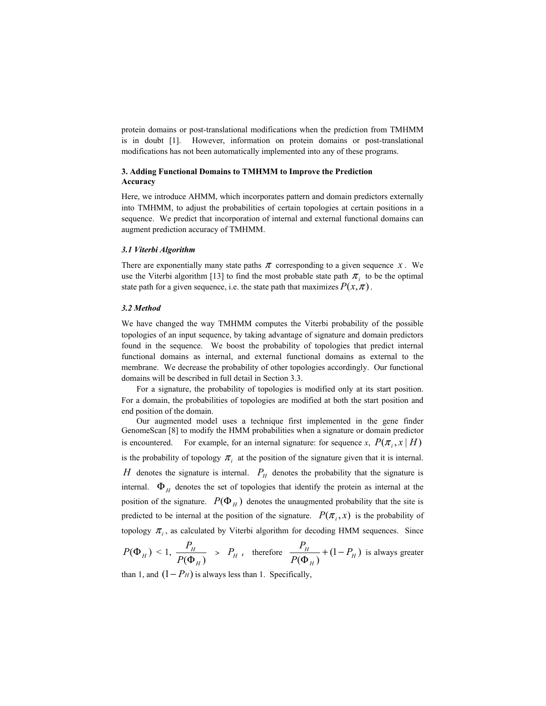protein domains or post-translational modifications when the prediction from TMHMM is in doubt [1]. However, information on protein domains or post-translational modifications has not been automatically implemented into any of these programs.

# **3. Adding Functional Domains to TMHMM to Improve the Prediction Accuracy**

Here, we introduce AHMM, which incorporates pattern and domain predictors externally into TMHMM, to adjust the probabilities of certain topologies at certain positions in a sequence. We predict that incorporation of internal and external functional domains can augment prediction accuracy of TMHMM.

# *3.1 Viterbi Algorithm*

There are exponentially many state paths  $\pi$  corresponding to a given sequence  $x$ . We use the Viterbi algorithm [13] to find the most probable state path  $\pi$ , to be the optimal state path for a given sequence, i.e. the state path that maximizes  $P(x, \pi)$ .

#### *3.2 Method*

We have changed the way TMHMM computes the Viterbi probability of the possible topologies of an input sequence, by taking advantage of signature and domain predictors found in the sequence. We boost the probability of topologies that predict internal functional domains as internal, and external functional domains as external to the membrane. We decrease the probability of other topologies accordingly. Our functional domains will be described in full detail in Section 3.3.

For a signature, the probability of topologies is modified only at its start position. For a domain, the probabilities of topologies are modified at both the start position and end position of the domain.

Our augmented model uses a technique first implemented in the gene finder GenomeScan [8] to modify the HMM probabilities when a signature or domain predictor is encountered. For example, for an internal signature: for sequence *x*,  $P(\pi_i, x \mid H)$ is the probability of topology  $\pi_i$  at the position of the signature given that it is internal. *H* denotes the signature is internal.  $P_H$  denotes the probability that the signature is internal.  $\Phi$ <sub>H</sub> denotes the set of topologies that identify the protein as internal at the position of the signature.  $P(\Phi_H)$  denotes the unaugmented probability that the site is predicted to be internal at the position of the signature.  $P(\pi_i, x)$  is the probability of topology  $\pi$ <sub>i</sub>, as calculated by Viterbi algorithm for decoding HMM sequences. Since

$$
P(\Phi_H) < 1, \frac{P_H}{P(\Phi_H)} > P_H
$$
, therefore  $\frac{P_H}{P(\Phi_H)} + (1 - P_H)$  is always greater

than 1, and  $(1 - P_H)$  is always less than 1. Specifically,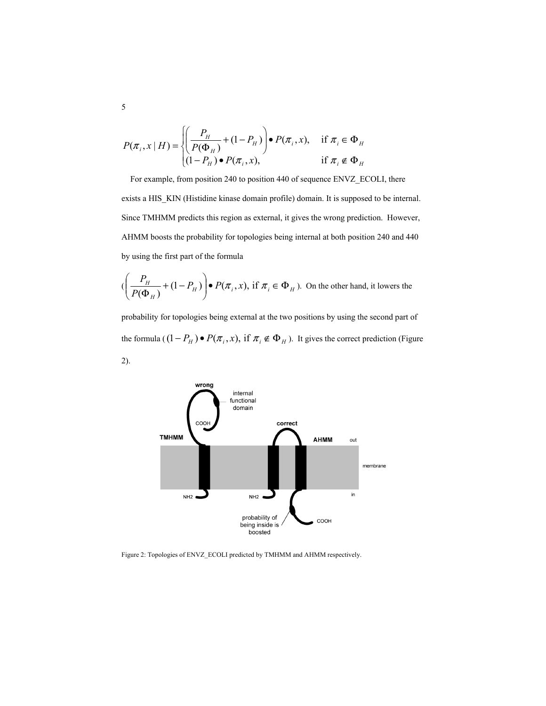$$
P(\pi_i, x \mid H) = \begin{cases} \left(\frac{P_H}{P(\Phi_H)} + (1 - P_H)\right) \bullet P(\pi_i, x), & \text{if } \pi_i \in \Phi_H\\ (1 - P_H) \bullet P(\pi_i, x), & \text{if } \pi_i \notin \Phi_H \end{cases}
$$

For example, from position 240 to position 440 of sequence ENVZ\_ECOLI, there exists a HIS\_KIN (Histidine kinase domain profile) domain. It is supposed to be internal. Since TMHMM predicts this region as external, it gives the wrong prediction. However, AHMM boosts the probability for topologies being internal at both position 240 and 440 by using the first part of the formula

$$
(\left(\frac{P_H}{P(\Phi_H)} + (1 - P_H)\right) \bullet P(\pi_i, x), \text{ if } \pi_i \in \Phi_H). \text{ On the other hand, it lowers the}
$$

probability for topologies being external at the two positions by using the second part of the formula ( $(1 - P_H) \bullet P(\pi_i, x)$ , if  $\pi_i \notin \Phi_H$ ). It gives the correct prediction (Figure 2).



Figure 2: Topologies of ENVZ\_ECOLI predicted by TMHMM and AHMM respectively.

5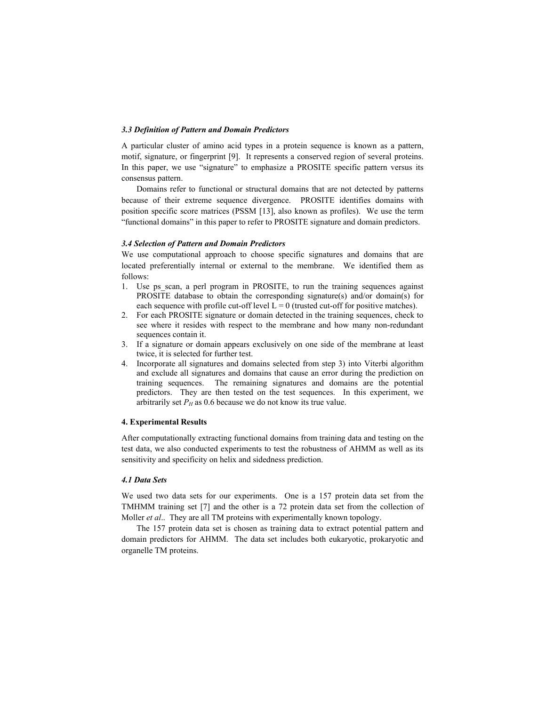#### *3.3 Definition of Pattern and Domain Predictors*

A particular cluster of amino acid types in a protein sequence is known as a pattern, motif, signature, or fingerprint [9]. It represents a conserved region of several proteins. In this paper, we use "signature" to emphasize a PROSITE specific pattern versus its consensus pattern.

Domains refer to functional or structural domains that are not detected by patterns because of their extreme sequence divergence. PROSITE identifies domains with position specific score matrices (PSSM [13], also known as profiles). We use the term "functional domains" in this paper to refer to PROSITE signature and domain predictors.

#### *3.4 Selection of Pattern and Domain Predictors*

We use computational approach to choose specific signatures and domains that are located preferentially internal or external to the membrane. We identified them as follows:

- 1. Use ps scan, a perl program in PROSITE, to run the training sequences against PROSITE database to obtain the corresponding signature(s) and/or domain(s) for each sequence with profile cut-off level  $L = 0$  (trusted cut-off for positive matches).
- 2. For each PROSITE signature or domain detected in the training sequences, check to see where it resides with respect to the membrane and how many non-redundant sequences contain it.
- 3. If a signature or domain appears exclusively on one side of the membrane at least twice, it is selected for further test.
- 4. Incorporate all signatures and domains selected from step 3) into Viterbi algorithm and exclude all signatures and domains that cause an error during the prediction on training sequences. The remaining signatures and domains are the potential predictors. They are then tested on the test sequences. In this experiment, we arbitrarily set  $P_H$  as 0.6 because we do not know its true value.

### **4. Experimental Results**

After computationally extracting functional domains from training data and testing on the test data, we also conducted experiments to test the robustness of AHMM as well as its sensitivity and specificity on helix and sidedness prediction.

## *4.1 Data Sets*

We used two data sets for our experiments. One is a 157 protein data set from the TMHMM training set [7] and the other is a 72 protein data set from the collection of Moller *et al.*. They are all TM proteins with experimentally known topology.

The 157 protein data set is chosen as training data to extract potential pattern and domain predictors for AHMM. The data set includes both eukaryotic, prokaryotic and organelle TM proteins.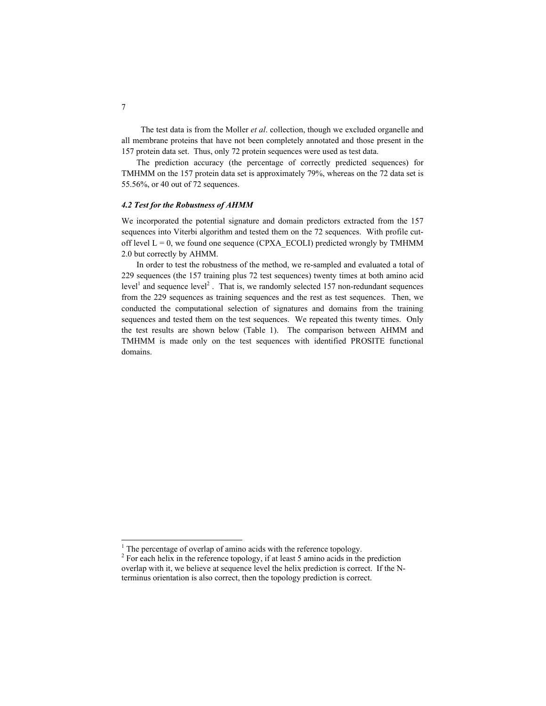The test data is from the Moller *et al*. collection, though we excluded organelle and all membrane proteins that have not been completely annotated and those present in the 157 protein data set. Thus, only 72 protein sequences were used as test data.

The prediction accuracy (the percentage of correctly predicted sequences) for TMHMM on the 157 protein data set is approximately 79%, whereas on the 72 data set is 55.56%, or 40 out of 72 sequences.

# *4.2 Test for the Robustness of AHMM*

We incorporated the potential signature and domain predictors extracted from the 157 sequences into Viterbi algorithm and tested them on the 72 sequences. With profile cutoff level  $L = 0$ , we found one sequence (CPXA\_ECOLI) predicted wrongly by TMHMM 2.0 but correctly by AHMM.

In order to test the robustness of the method, we re-sampled and evaluated a total of 229 sequences (the 157 training plus 72 test sequences) twenty times at both amino acid level<sup>1</sup> and sequence level<sup>2</sup>. That is, we randomly selected 157 non-redundant sequences from the 229 sequences as training sequences and the rest as test sequences. Then, we conducted the computational selection of signatures and domains from the training sequences and tested them on the test sequences. We repeated this twenty times. Only the test results are shown below (Table 1). The comparison between AHMM and TMHMM is made only on the test sequences with identified PROSITE functional domains.

<sup>&</sup>lt;sup>1</sup> The percentage of overlap of amino acids with the reference topology.

 $2^2$  For each helix in the reference topology, if at least 5 amino acids in the prediction overlap with it, we believe at sequence level the helix prediction is correct. If the Nterminus orientation is also correct, then the topology prediction is correct.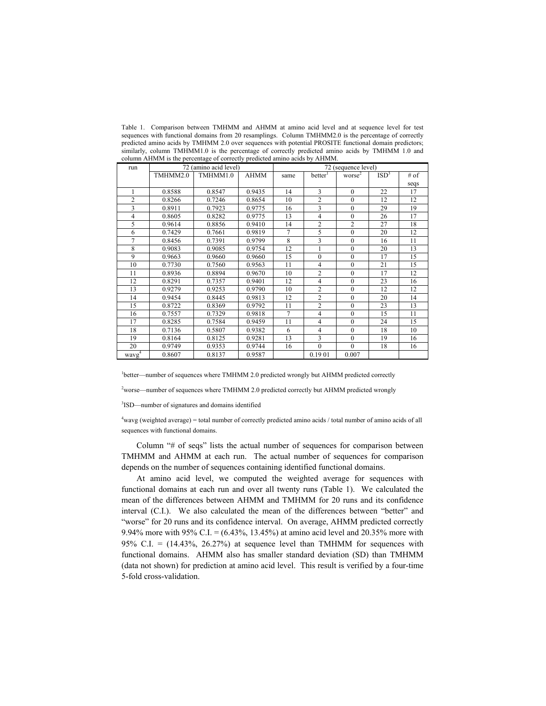| run               | 72 (amino acid level) |          |             | 72 (sequence level) |                |                |                |      |
|-------------------|-----------------------|----------|-------------|---------------------|----------------|----------------|----------------|------|
|                   | TMHMM2.0              | TMHMM1.0 | <b>AHMM</b> | same                | better         | worse          | $\text{ISD}^3$ | # of |
|                   |                       |          |             |                     |                |                |                | seqs |
|                   | 0.8588                | 0.8547   | 0.9435      | 14                  | 3              | $\mathbf{0}$   | 22             | 17   |
| $\overline{c}$    | 0.8266                | 0.7246   | 0.8654      | 10                  | $\overline{c}$ | $\theta$       | 12             | 12   |
| 3                 | 0.8911                | 0.7923   | 0.9775      | 16                  | 3              | $\mathbf{0}$   | 29             | 19   |
| 4                 | 0.8605                | 0.8282   | 0.9775      | 13                  | 4              | $\mathbf{0}$   | 26             | 17   |
| 5                 | 0.9614                | 0.8856   | 0.9410      | 14                  | $\overline{c}$ | $\overline{c}$ | 27             | 18   |
| 6                 | 0.7429                | 0.7661   | 0.9819      | 7                   | 5              | $\theta$       | 20             | 12   |
| 7                 | 0.8456                | 0.7391   | 0.9799      | 8                   | 3              | $\mathbf{0}$   | 16             | 11   |
| 8                 | 0.9083                | 0.9085   | 0.9754      | 12                  | 1              | $\theta$       | 20             | 13   |
| 9                 | 0.9663                | 0.9660   | 0.9660      | 15                  | $\mathbf{0}$   | $\mathbf{0}$   | 17             | 15   |
| 10                | 0.7730                | 0.7560   | 0.9563      | 11                  | 4              | $\theta$       | 21             | 15   |
| 11                | 0.8936                | 0.8894   | 0.9670      | 10                  | $\overline{c}$ | $\mathbf{0}$   | 17             | 12   |
| 12                | 0.8291                | 0.7357   | 0.9401      | 12                  | 4              | $\mathbf{0}$   | 23             | 16   |
| 13                | 0.9279                | 0.9253   | 0.9790      | 10                  | $\overline{c}$ | $\mathbf{0}$   | 12             | 12   |
| 14                | 0.9454                | 0.8445   | 0.9813      | 12                  | $\overline{2}$ | $\mathbf{0}$   | 20             | 14   |
| 15                | 0.8722                | 0.8369   | 0.9792      | 11                  | $\overline{2}$ | $\theta$       | 23             | 13   |
| 16                | 0.7557                | 0.7329   | 0.9818      | 7                   | $\overline{4}$ | $\mathbf{0}$   | 15             | 11   |
| 17                | 0.8285                | 0.7584   | 0.9459      | 11                  | 4              | $\theta$       | 24             | 15   |
| 18                | 0.7136                | 0.5807   | 0.9382      | 6                   | 4              | $\theta$       | 18             | 10   |
| 19                | 0.8164                | 0.8125   | 0.9281      | 13                  | 3              | $\mathbf{0}$   | 19             | 16   |
| 20                | 0.9749                | 0.9353   | 0.9744      | 16                  | $\theta$       | $\mathbf{0}$   | 18             | 16   |
| wayg <sup>4</sup> | 0.8607                | 0.8137   | 0.9587      |                     | 0.1901         | 0.007          |                |      |

Table 1. Comparison between TMHMM and AHMM at amino acid level and at sequence level for test sequences with functional domains from 20 resamplings. Column TMHMM2.0 is the percentage of correctly predicted amino acids by TMHMM 2.0 over sequences with potential PROSITE functional domain predictors; similarly, column TMHMM1.0 is the percentage of correctly predicted amino acids by TMHMM 1.0 and column AHMM is the percentage of correctly predicted amino acids by AHMM.

<sup>1</sup>better—number of sequences where TMHMM 2.0 predicted wrongly but AHMM predicted correctly

<sup>2</sup>worse—number of sequences where TMHMM 2.0 predicted correctly but AHMM predicted wrongly

3 ISD—number of signatures and domains identified

4 wavg (weighted average) = total number of correctly predicted amino acids / total number of amino acids of all sequences with functional domains.

Column "# of seqs" lists the actual number of sequences for comparison between TMHMM and AHMM at each run. The actual number of sequences for comparison depends on the number of sequences containing identified functional domains.

At amino acid level, we computed the weighted average for sequences with functional domains at each run and over all twenty runs (Table 1). We calculated the mean of the differences between AHMM and TMHMM for 20 runs and its confidence interval (C.I.). We also calculated the mean of the differences between "better" and "worse" for 20 runs and its confidence interval. On average, AHMM predicted correctly 9.94% more with 95% C.I. = (6.43%, 13.45%) at amino acid level and 20.35% more with 95% C.I. =  $(14.43\%, 26.27\%)$  at sequence level than TMHMM for sequences with functional domains. AHMM also has smaller standard deviation (SD) than TMHMM (data not shown) for prediction at amino acid level. This result is verified by a four-time 5-fold cross-validation.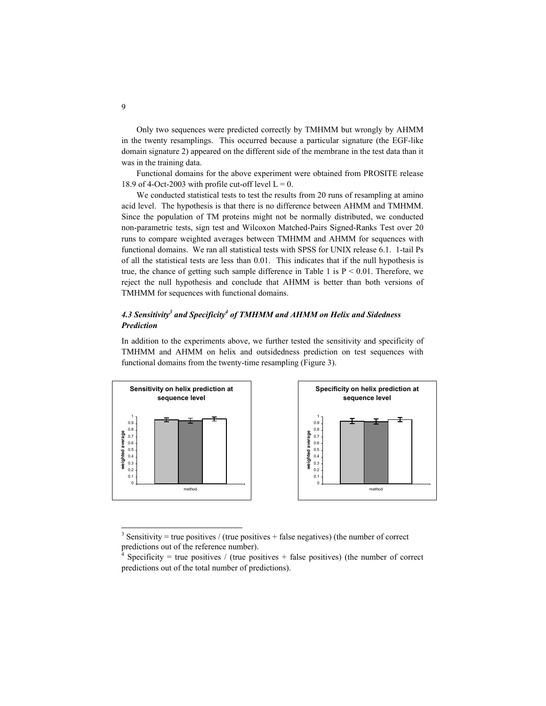Only two sequences were predicted correctly by TMHMM but wrongly by AHMM in the twenty resamplings. This occurred because a particular signature (the EGF-like domain signature 2) appeared on the different side of the membrane in the test data than it was in the training data.

Functional domains for the above experiment were obtained from PROSITE release 18.9 of 4-Oct-2003 with profile cut-off level  $L = 0$ .

We conducted statistical tests to test the results from 20 runs of resampling at amino acid level. The hypothesis is that there is no difference between AHMM and TMHMM. Since the population of TM proteins might not be normally distributed, we conducted non-parametric tests, sign test and Wilcoxon Matched-Pairs Signed-Ranks Test over 20 runs to compare weighted averages between TMHMM and AHMM for sequences with functional domains. We ran all statistical tests with SPSS for UNIX release 6.1. 1-tail Ps of all the statistical tests are less than 0.01. This indicates that if the null hypothesis is true, the chance of getting such sample difference in Table 1 is  $P < 0.01$ . Therefore, we reject the null hypothesis and conclude that AHMM is better than both versions of TMHMM for sequences with functional domains.

# *4.3 Sensitivity3 and Specificity4 of TMHMM and AHMM on Helix and Sidedness Prediction*

In addition to the experiments above, we further tested the sensitivity and specificity of TMHMM and AHMM on helix and outsidedness prediction on test sequences with functional domains from the twenty-time resampling (Figure 3).



<sup>&</sup>lt;sup>3</sup> Sensitivity = true positives / (true positives + false negatives) (the number of correct predictions out of the reference number).

l

<sup>4</sup> Specificity = true positives / (true positives + false positives) (the number of correct predictions out of the total number of predictions).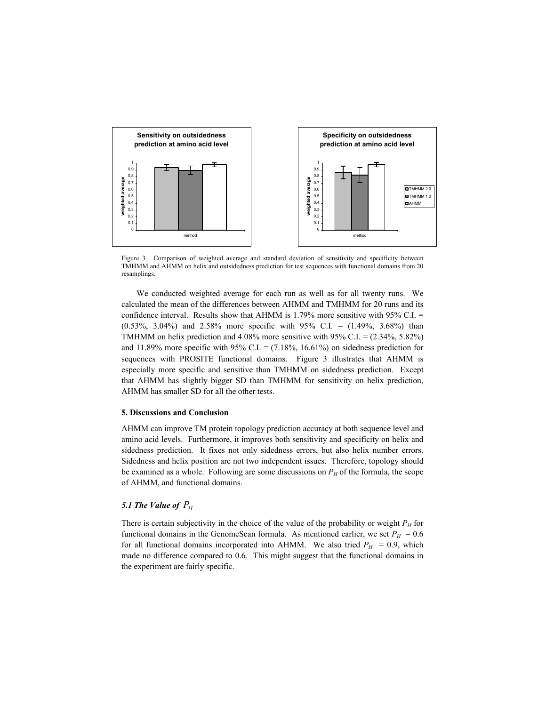

Figure 3. Comparison of weighted average and standard deviation of sensitivity and specificity between TMHMM and AHMM on helix and outsidedness prediction for test sequences with functional domains from 20 resamplings.

We conducted weighted average for each run as well as for all twenty runs. We calculated the mean of the differences between AHMM and TMHMM for 20 runs and its confidence interval. Results show that AHMM is 1.79% more sensitive with 95% C.I.  $=$ (0.53%, 3.04%) and 2.58% more specific with 95% C.I. = (1.49%, 3.68%) than TMHMM on helix prediction and  $4.08\%$  more sensitive with  $95\%$  C.I. =  $(2.34\%, 5.82\%)$ and 11.89% more specific with 95% C.I. =  $(7.18\%, 16.61\%)$  on sidedness prediction for sequences with PROSITE functional domains. Figure 3 illustrates that AHMM is especially more specific and sensitive than TMHMM on sidedness prediction. Except that AHMM has slightly bigger SD than TMHMM for sensitivity on helix prediction, AHMM has smaller SD for all the other tests.

#### **5. Discussions and Conclusion**

AHMM can improve TM protein topology prediction accuracy at both sequence level and amino acid levels. Furthermore, it improves both sensitivity and specificity on helix and sidedness prediction. It fixes not only sidedness errors, but also helix number errors. Sidedness and helix position are not two independent issues. Therefore, topology should be examined as a whole. Following are some discussions on  $P_H$  of the formula, the scope of AHMM, and functional domains.

# *5.1 The Value of*  $P<sub>H</sub>$

There is certain subjectivity in the choice of the value of the probability or weight  $P_H$  for functional domains in the GenomeScan formula. As mentioned earlier, we set  $P_H = 0.6$ for all functional domains incorporated into AHMM. We also tried  $P_H = 0.9$ , which made no difference compared to 0.6. This might suggest that the functional domains in the experiment are fairly specific.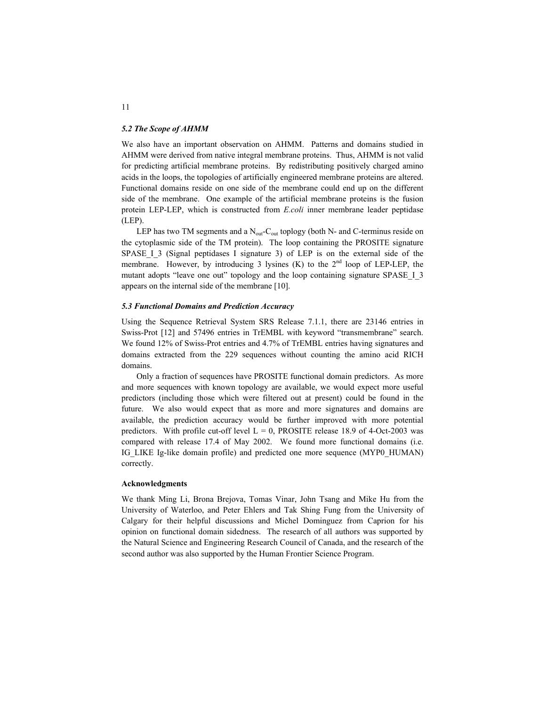#### *5.2 The Scope of AHMM*

We also have an important observation on AHMM. Patterns and domains studied in AHMM were derived from native integral membrane proteins. Thus, AHMM is not valid for predicting artificial membrane proteins. By redistributing positively charged amino acids in the loops, the topologies of artificially engineered membrane proteins are altered. Functional domains reside on one side of the membrane could end up on the different side of the membrane. One example of the artificial membrane proteins is the fusion protein LEP-LEP, which is constructed from *E.coli* inner membrane leader peptidase (LEP).

LEP has two TM segments and a  $N_{out}$ -C<sub>out</sub> toplogy (both N- and C-terminus reside on the cytoplasmic side of the TM protein). The loop containing the PROSITE signature SPASE I 3 (Signal peptidases I signature 3) of LEP is on the external side of the membrane. However, by introducing 3 lysines  $(K)$  to the  $2<sup>nd</sup>$  loop of LEP-LEP, the mutant adopts "leave one out" topology and the loop containing signature SPASE I 3 appears on the internal side of the membrane [10].

### *5.3 Functional Domains and Prediction Accuracy*

Using the Sequence Retrieval System SRS Release 7.1.1, there are 23146 entries in Swiss-Prot [12] and 57496 entries in TrEMBL with keyword "transmembrane" search. We found 12% of Swiss-Prot entries and 4.7% of TrEMBL entries having signatures and domains extracted from the 229 sequences without counting the amino acid RICH domains.

Only a fraction of sequences have PROSITE functional domain predictors. As more and more sequences with known topology are available, we would expect more useful predictors (including those which were filtered out at present) could be found in the future. We also would expect that as more and more signatures and domains are available, the prediction accuracy would be further improved with more potential predictors. With profile cut-off level  $L = 0$ , PROSITE release 18.9 of 4-Oct-2003 was compared with release 17.4 of May 2002. We found more functional domains (i.e. IG\_LIKE Ig-like domain profile) and predicted one more sequence (MYP0\_HUMAN) correctly.

#### **Acknowledgments**

We thank Ming Li, Brona Brejova, Tomas Vinar, John Tsang and Mike Hu from the University of Waterloo, and Peter Ehlers and Tak Shing Fung from the University of Calgary for their helpful discussions and Michel Dominguez from Caprion for his opinion on functional domain sidedness. The research of all authors was supported by the Natural Science and Engineering Research Council of Canada, and the research of the second author was also supported by the Human Frontier Science Program.

11